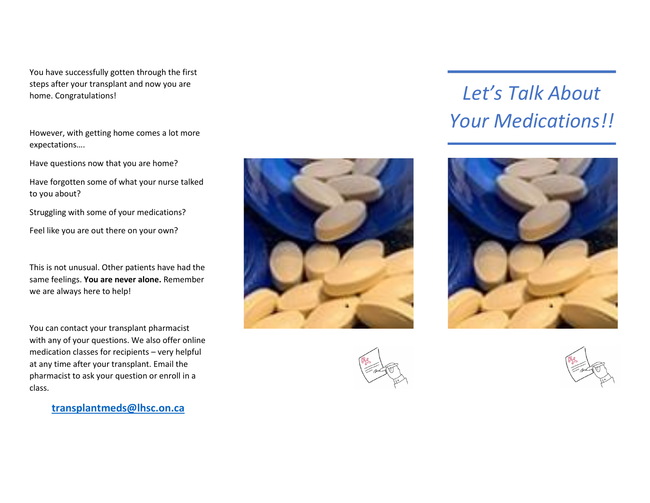You have successfully gotten through the first steps after your transplant and now you are home. Congratulations!

However, with getting home comes a lot more expectations….

Have questions now that you are home?

Have forgotten some of what your nurse talked to you about?

Struggling with some of your medications?

Feel like you are out there on your own?

This is not unusual. Other patients have had the same feelings. **You are never alone.** Remember we are always here to help!

You can contact your transplant pharmacist with any of your questions. We also offer online medication classes for recipients – very helpful at any time after your transplant. Email the pharmacist to ask your question or enroll in a class.

**[transplantmeds@lhsc.on.ca](mailto:transplantmeds@lhsc.on.ca)**





## *Let's Talk About Your Medications!!*